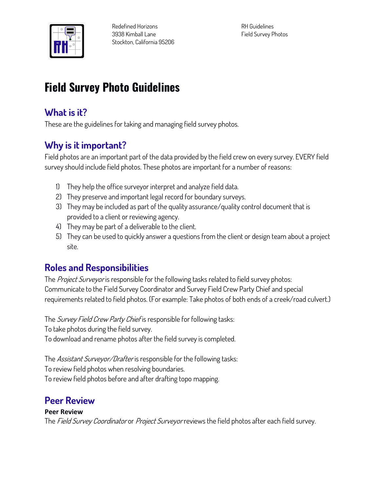

# **Field Survey Photo Guidelines**

#### **What is it?**

**These are the guidelines for taking and managing field survey photos.**

### **Why is it important?**

**Field photos are an important part of the data provided by the field crew on every survey. EVERY field survey should include field photos. These photos are important for a number of reasons:**

- **1) They help the office surveyor interpret and analyze field data.**
- **2) They preserve and important legal record for boundary surveys.**
- **3) They may be included as part of the quality assurance/quality control document that is provided to a client or reviewing agency.**
- **4) They may be part of a deliverable to the client.**
- **5) They can be used to quickly answer a questions from the client or design team about a project site.**

### **Roles and Responsibilities**

**The Project Surveyor is responsible for the following tasks related to field survey photos: Communicate to the Field Survey Coordinator and Survey Field Crew Party Chief and special requirements related to field photos. (For example: Take photos of both ends of a creek/road culvert.)**

**The Survey Field Crew Party Chief is responsible for following tasks: To take photos during the field survey. To download and rename photos after the field survey is completed.**

**The Assistant Surveyor/Drafter is responsible for the following tasks: To review field photos when resolving boundaries. To review field photos before and after drafting topo mapping.**

### **Peer Review**

#### **Peer Review**

**The Field Survey Coordinator or Project Surveyor reviews the field photos after each field survey.**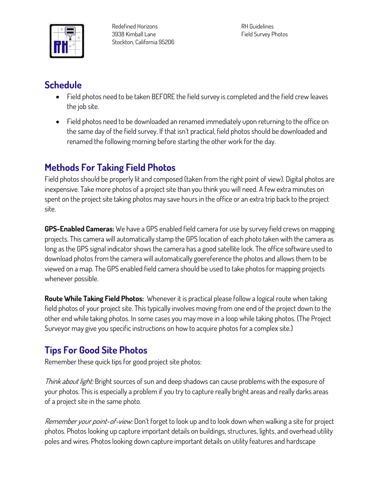

**Redefined Horizons 3938 Kimball Lane Stockton, California 95206**

**RH Guidelines Field Survey Photos**

### **Schedule**

- **Field photos need to be taken BEFORE the field survey is completed and the field crew leaves the job site.**
- **Field photos need to be downloaded an renamed immediately upon returning to the office on the same day of the field survey. If that isn't practical, field photos should be downloaded and renamed the following morning before starting the other work for the day.**

## **Methods For Taking Field Photos**

**Field photos should be properly lit and composed (taken from the right point of view). Digital photos are inexpensive. Take more photos of a project site than you think you will need. A few extra minutes on spent on the project site taking photos may save hours in the office or an extra trip back to the project site.**

**GPS-Enabled Cameras: We have a GPS enabled field camera for use by survey field crews on mapping projects. This camera will automatically stamp the GPS location of each photo taken with the camera as long as the GPS signal indicator shows the camera has a good satellite lock. The office software used to download photos from the camera will automatically goereference the photos and allows them to be viewed on a map. The GPS enabled field camera should be used to take photos for mapping projects whenever possible.**

**Route While Taking Field Photos: Whenever it is practical please follow a logical route when taking field photos of your project site. This typically involves moving from one end of the project down to the other end while taking photos. In some cases you may move in a loop while taking photos. (The Project Surveyor may give you specific instructions on how to acquire photos for a complex site.)** 

### **Tips For Good Site Photos**

**Remember these quick tips for good project site photos:**

**Think about light: Bright sources of sun and deep shadows can cause problems with the exposure of your photos. This is especially a problem if you try to capture really bright areas and really darks areas of a project site in the same photo.**

**Remember your point-of-view: Don't forget to look up and to look down when walking a site for project photos. Photos looking up capture important details on buildings, structures, lights, and overhead utility poles and wires. Photos looking down capture important details on utility features and hardscape**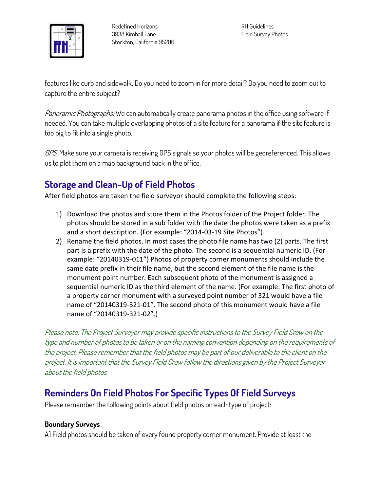

**features like curb and sidewalk. Do you need to zoom in for more detail? Do you need to zoom out to capture the entire subject?**

**Panoramic Photographs: We can automatically create panorama photos in the office using software if needed. You can take multiple overlapping photos of a site feature for a panorama if the site feature is too big to fit into a single photo.**

**GPS: Make sure your camera is receiving GPS signals so your photos will be georeferenced. This allows us to plot them on a map background back in the office.**

### **Storage and Clean-Up of Field Photos**

After field photos are taken the field surveyor should complete the following steps:

- 1) Download the photos and store them in the Photos folder of the Project folder. The photos should be stored in a sub folder with the date the photos were taken as a prefix and a short description. (For example: "2014-03-19 Site Photos")
- 2) Rename the field photos. In most cases the photo file name has two (2) parts. The first part is a prefix with the date of the photo. The second is a sequential numeric ID. (For example: "20140319-011") Photos of property corner monuments should include the same date prefix in their file name, but the second element of the file name is the monument point number. Each subsequent photo of the monument is assigned a sequential numeric ID as the third element of the name. (For example: The first photo of a property corner monument with a surveyed point number of 321 would have a file name of "20140319-321-01". The second photo of this monument would have a file name of "20140319-321-02".)

**Please note: The Project Surveyor may provide specific instructions to the Survey Field Crew on the type and number of photos to be taken or on the naming convention depending on the requirements of the project. Please remember that the field photos may be part of our deliverable to the client on the project. It is important that the Survey Field Crew follow the directions given by the Project Surveyor about the field photos.**

### **Reminders On Field Photos For Specific Types Of Field Surveys**

**Please remember the following points about field photos on each type of project:**

#### **Boundary Surveys**

**A] Field photos should be taken of every found property corner monument. Provide at least the**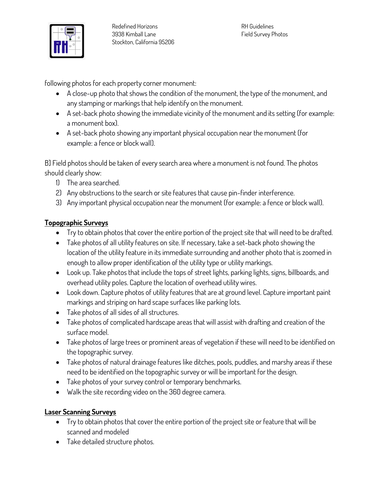

**following photos for each property corner monument:**

- **A close-up photo that shows the condition of the monument, the type of the monument, and any stamping or markings that help identify on the monument.**
- **A set-back photo showing the immediate vicinity of the monument and its setting (for example: a monument box).**
- **A set-back photo showing any important physical occupation near the monument (for example: a fence or block wall).**

**B] Field photos should be taken of every search area where a monument is not found. The photos should clearly show:**

- **1) The area searched.**
- **2) Any obstructions to the search or site features that cause pin-finder interference.**
- **3) Any important physical occupation near the monument (for example: a fence or block wall).**

#### **Topographic Surveys**

- **Try to obtain photos that cover the entire portion of the project site that will need to be drafted.**
- **Take photos of all utility features on site. If necessary, take a set-back photo showing the location of the utility feature in its immediate surrounding and another photo that is zoomed in enough to allow proper identification of the utility type or utility markings.**
- **Look up. Take photos that include the tops of street lights, parking lights, signs, billboards, and overhead utility poles. Capture the location of overhead utility wires.**
- **Look down. Capture photos of utility features that are at ground level. Capture important paint markings and striping on hard scape surfaces like parking lots.**
- **Take photos of all sides of all structures.**
- **Take photos of complicated hardscape areas that will assist with drafting and creation of the surface model.**
- **Take photos of large trees or prominent areas of vegetation if these will need to be identified on the topographic survey.**
- **Take photos of natural drainage features like ditches, pools, puddles, and marshy areas if these need to be identified on the topographic survey or will be important for the design.**
- **Take photos of your survey control or temporary benchmarks.**
- **Walk the site recording video on the 360 degree camera.**

#### **Laser Scanning Surveys**

- **Try to obtain photos that cover the entire portion of the project site or feature that will be scanned and modeled**
- **Take detailed structure photos.**